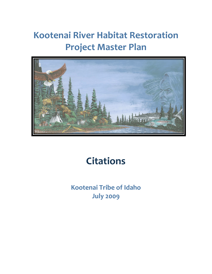## **Kootenai River Habitat Restoration Project Master Plan**



## **Citations**

**Kootenai Tribe of Idaho July 2009**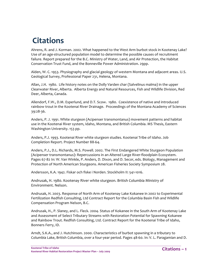## **Citations**

Ahrens, R. and J. Korman. 2002. What happened to the West Arm burbot stock in Kootenay Lake? Use of an age‐structured population model to determine the possible causes of recruitment failure. Report prepared for the B.C. Ministry of Water, Land, and Air Protection, the Habitat Conservation Trust Fund, and the Bonneville Power Administration. 29pp.

Alden, W. C. 1953. Physiography and glacial geology of western Montana and adjacent areas. U.S. Geological Survey, Professional Paper 231, Helena, Montana.

Allan, J.H. 1980. Life history notes on the Dolly Varden char (Salvelinus malma) in the upper Clearwater River, Alberta. Alberta Energy and Natural Resources, Fish and Wildlife Division, Red Deer, Alberta, Canada.

Allendorf, F.W., D.M. Esperlund, and D.T. Scow. 1980. Coexistence of native and introduced rainbow trout in the Kootenai River Drainage. Proceedings of the Montana Academy of Sciences 39:28‐36.

Anders, P. J. 1991. White sturgeon (Acipenser transmontanus) movement patterns and habitat use in the Kootenai River system, Idaho, Montana, and British Columbia. MS Thesis, Eastern Washington University. 153 pp.

Anders, P.J. 1993. Kootenai River white sturgeon studies. Kootenai Tribe of Idaho. Job Completion Report. Project Number 88‐64.

Anders, P.J., D.L. Richards, M.S. Powell. 2002. The First Endangered White Sturgeon Population (Acipenser transmontanus): Repercussions in an Altered Large River‐floodplain Ecosystem. Pages 67-82 In: W. Van Winkle, P. Anders, D. Dixon, and D. Secor, eds. Biology, Management and Protection of North American Sturgeons. American Fisheries Society Symposium 28.

Andersson, K.A. 1942. Fiskar och fiske i Norden. Stockholm II: 541‐1016.

Andrusak, H. 1980. Kootenay River white sturgeon. British Columbia Ministry of Environment. Nelson.

Andrusak, H. 2003. Response of North Arm of Kootenay Lake Kokanee in 2002 to Experimental Fertilization Redfish Consulting, Ltd Contract Report for the Columbia Basin Fish and Wildlife Compensation Program Nelson, B.C.

Andrusak, H., P. Slaney, and L. Fleck. 2004. Status of Kokanee in the South Arm of Kootenay Lake and Assessment of Select Tributary Streams with Restoration Potential for Spawning Kokanee and Rainbow Trout. Redfish Consulting, Ltd. Contract Report for the Kootenai Tribe of Idaho, Bonners Ferry, ID.

Arndt, S.K.A., and J. Hutchinson. 2000. Characteristics of burbot spawning in a tributary to Columbia Lake, British Columbia, over a four‐year period. Pages 48‐60. In: V. L. Paragamian and D.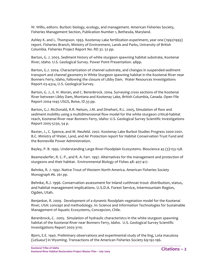W. Willis, editors. Burbot: biology, ecology, and management. American Fisheries Society, Fisheries Management Section, Publication Number 1, Bethesda, Maryland.

Ashley K. and L. Thompson. 1993. Kootenay Lake fertilization experiment, year one (1992/1993) report. Fisheries Branch, Ministry of Environment, Lands and Parks, University of British Columbia. Fisheries Project Report No. RD 32. 52 pp.

Barton, G. J. 2003. Sediment history of white sturgeon spawning habitat substrate, Kootenai River, Idaho. U.S. Geological Survey. Power Point Presentation. 48pp.

Barton, G.J. 2004. Characterization of channel substrate, and changes in suspended‐sediment transport and channel geometry in White Sturgeon spawning habitat in the Kootenai River near Bonners Ferry, Idaho, following the closure of Libby Dam. Water Resources Investigations Report 03‐4324, U.S. Geological Survey.

Barton, G. J., E. H. Moran, and C. Berenbrock. 2004. Surveying cross sections of the Kootenai River between Libby Dam, Montana and Kootenay Lake, British Columbia, Canada. Open File Report 2004‐1045 USGS, Boise, ID.33 pp.

Barton, G.J. McDonald, R.R. Nelson, J.M. and Dinehart, R.L. 2005, Simulation of flow and sediment mobility using a multidimensional flow model for the white sturgeon critical-habitat reach, Kootenai River near Bonners Ferry, Idaho: U.S. Geological Survey Scientific Investigations Report 2005‐5230, 54 p.

Baxter, J., C. Spence, and M. Neufeld. 2002. Kootenay Lake Burbot Studies Progress 2000‐2001. B.C. Ministry of Water, Land, and Air Protection report for Habitat Conservation Trust Fund and the Bonneville Power Administration.

Bayley, P. B. 1995. Understanding Large River‐Floodplain Ecosystems. Bioscience 45 (3):153‐158.

Beamesderfer, R. C. P., and R. A. Farr. 1997. Alternatives for the management and protection of sturgeons and their habitat. Environmental Biology of Fishes 48: 407‐417.

Behnke, R. J. 1992. Native Trout of Western North America. American Fisheries Society Monograph #6. 261 pp.

Behnke, R.J. 1996. Conservation assessment for inland cutthroat trout: distribution, status, and habitat management implications. U.S.D.A. Forest Service, Intermountain Region, Ogden, Utah.

Benjankar, R. 2009. Development of a dynamic floodplain vegetation model for the Kootenai River, USA: concept and methodology. In: Science and Information Technologies for Sustainable Management of Aquatic Ecosystems, Concepcion, Chile.

Berenbrock, C. 2005. Simulation of hydraulic characteristcs in the white sturgeon spawning habitat of the Kootenai River near Bonners Ferry, Idaho. U.S. Geological Survey Scientific Investigations Report 2005‐3110.

Bjorn, E.E. 1940. Preliminary observations and experimental study of the ling, Lota maculosa (LeSueur) in Wyoming. Transactions of the American Fisheries Society 69:192‐196.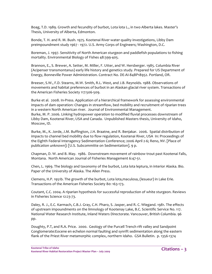Boag, T.D. 1989. Growth and fecundity of burbot, Lota lota L., in two Alberta lakes. Master's Thesis, University of Alberta, Edmonton.

Bonde, T. H. and R. M. Bush. 1975. Kootenai River water quality investigations, Libby Dam preimpoundment study 1967 ‐ 1972. U.S. Army Corps of Engineers; Washington, D.C.

Boreman, J. 1997. Sensitivity of North American sturgeon and paddlefish populations to fishing mortality. Environmental Biology of Fishes 48:399‐405.

Brannon, E., S. Brewer, A. Setter, M. Miller, F. Utter, and W. Hersberger. 1985. Columbia River (Acipenser transmontanus) early life history and genetics study. Prepared for US Department of Energy, Bonneville Power Administration. Contract No. DE‐AI‐84BP18952. Portland, OR.

Breeser, S.W., F.D. Stearns, M.W. Smith, R.L. West, and J.B. Reynolds. 1988. Observations of movements and habitat preferences of burbot in an Alaskan glacial river system. Transactions of the American Fisheries Society 117:506‐509.

Burke et al. 2008. In‐Press. Application of a hierarchical framework for assessing environmental impacts of dam operation: Changes in streamflow, bed mobility and recruitment of riparian trees in a western North American river. Journal of Environmental Management.

Burke, M. P. 2006. Linking hydropower operation to modified fluvial processes downstream of Libby Dam, Kootenai River, USA and Canada. Unpublished Masters thesis, University of Idaho, Moscow, ID.

Burke, M., K. Jorde, J.M. Buffington, J.H. Braatne, and R. Benjakar. 2006. Spatial distribution of impacts to channel bed mobility due to flow regulation, Kootenai River, USA In: Proceedings of the Eighth Federal Interagency Sedimentation Conference; 2006 April 2‐6; Reno, NV. [Place of publication unknown]: [U.S. Subcommitte on Sedimentation]. 9 p.

Chapman, D. W. and B. May. 1986. Downstream movement of rainbow trout past Kootenai Falls, Montana. North American Journal of Fisheries Management 6:47‐51.

Chen, L. 1969. The biology and taxonomy of the burbot, Lota lota leptura, in interior Alaska. Bio. Paper of the University of Alaska. The Allen Press.

Clemens, H.P. 1951b. The growth of the burbot, Lota lota,maculosa, (lesueur) in Lake Erie. Transactions of the American Fisheries Society 80: 163‐173.

Coutant, C.C. 2004. A riparian hypothesis for successful reproduction of white sturgeon. Reviews in Fisheries Science 12:23‐73.

Daley, R. J., E.C. Karmach, C.B.J. Gray, C.H. Pharo, S. Jasper, and R. C. Wiegand. 1981. The effects of upstream impoundments on the limnology of Kootenay Lake, B.C. Scientific Service No. 117. National Water Research Institute, Inland Waters Directorate. Vancouver, British Columbia. 96 pp.

Doughty, P.T, and R.A. Price. 2000. Geology of the Purcell Trench rift valley and Sandpoint Conglomerate:Eocene en echelon normal faulting and synrift sedimentation along the eastern flank of the Priest River metamorphic complex, northern Idaho. GSA Bulletin. p. 1356‐1374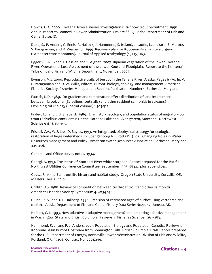Downs, C. C. 2000. Kootenai River fisheries investigations: Rainbow trout recruitment. 1998 Annual report to Bonneville Power Administration. Project 88‐65. Idaho Department of Fish and Game, Boise, ID.

Duke, S., P. Anders, G. Ennis, R. Hallock, J. Hammond, S. Ireland, J. Laufle, L. Lockard, B. Marotz, V. Paragamian, and R. Westerhof. 1999. Recovery plan for Kootenai River white sturgeon (Acipenser transmontanus). Journal of Applied Ichthyology (15):157‐163.

Egger, G., A. Exner, J. Hassler, and S. Aigner. 2007. Riparian vegetation of the lower Kootenai River: Operational Loss Assessment of the Lower Kootenai Floodplain. Report to the Kootenai Tribe of Idaho Fish and Wildlife Department, November, 2007.

Evenson, M.J. 2000. Reproductive traits of burbot in the Tanana River, Alaska. Pages 61‐70, In: V. L. Paragamian and D. W. Willis, editors. Burbot: biology, ecology, and management. American Fisheries Society, Fisheries Management Section, Publication Number 1, Bethesda, Maryland.

Fausch, K.D. 1989. Do gradient and temperature affect distribution of, and interactions between, brook char (Salvelinus fontinalis) and other resident salmonids in streams? Physiological Ecology (Special Volume) 1:303‐322.

Fraley, J.J. and B.B. Shepard. 1989. Life history, ecology, and population status of migratory bull trout (Salvelinus confluentus) in the Flathead Lake and River system, Montana. Northwest Science 63(4): 133‐143.

Frissell, C.A., W.J. Liss, D. Bayles. 1993. An integrated, biophysical strategy for ecological restoration of large watersheds. In: Spangenborg NE, Potts DE (Eds), Changing Roles in Water Resources Management and Policy. American Water Resources Association: Bethesda, Maryland 449‐456.

General Land Office survey notes. 1934.

Georgi, A. 1993. The status of Kootenai River white sturgeon. Report prepared for the Pacific Northwest Utilities Conference Committee. September 1993. 58 pp. plus appendices.

Goetz, F. 1991. Bull trout life history and habitat study. Oregon State University, Corvallis, OR. Masters Thesis. 49 p.

Griffith, J.S. 1988. Review of competition between cutthroat trout and other salmonids. American Fisheries Society Symposium 4. 4:134‐140.

Guinn, D. A., and J. E. Hallberg. 1990. Precision of estimated ages of burbot using vertebrae and otoliths. Alaska Department of Fish and Game, Fishery Data SeriesNo.90‐17, Juneau, AK.

Halbert, C. L. 1993. How adaptive is adaptive management? Implementing adaptive management in Washington State and British Columbia. Reviews in Fisheries Science 1:261–283.

Hammond, R. J., and P. J. Anders. 2003. Population Biology and Population Genetics Reviews of Kootenai Basin Burbot Upstream from Bonnington Falls, British Columbia. Draft Report prepared for the U.S. Department of Energy, Bonneville Power Administration Division of Fish and Wildlife, Portland, OR. 97208. Contract No. 00012146.

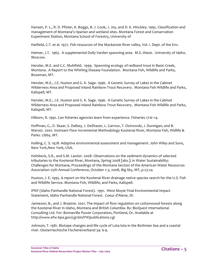Hansen, P. L., R. D. Pfister, K. Boggs, B. J. Cook, J. Joy, and D. K. Hinckley. 1995. Classification and management of Montana's riparian and wetland sites. Montana Forest and Conservation Experiment Station, Montana School of Forestry, University of

Hatfield, C.T. et al. 1972. Fish resources of the Mackenzie River valley, Vol. I. Dept. of the Env.

Heimer, J.T. 1965. A supplemental Dolly Varden spawning area. M.S. thesis. University of Idaho. Moscow.

Hensler, M.E. and C.C. Muhlfeld. 1999. Spawning ecology of redband trout in Basin Creek, Montana. A Report to the Whirling Disease Foundation. Montana Fish, Wildlife and Parks, Bozeman, MT.

Hensler, M.E., J.E. Huston and G. K. Sage. 1996. A Genetic Survey of Lakes in the Cabinet Wilderness Area and Proposed Inland Rainbow Trout Recovery. Montana Fish Wildlife and Parks, Kalispell, MT.

Hensler, M.E., J.E. Huston and G. K. Sage. 1996. A Genetic Survey of Lakes in the Cabinet Wilderness Area and Proposed Inland Rainbow Trout Recovery. Montana Fish Wildlife and Parks, Kalispell, MT.

Hilborn, R. 1992. Can fisheries agencies learn from experience. Fisheries 17:6–14.

Hoffman, G., D. Skaar, S. Dalbey, J. DeShazer, L. Garrow, T. Ostrowski, J. Dunnigan, and B. Marotz. 2002. Instream Flow Incremental Methodology Kootenai River, Montana Fish, Widlife & Parks. Libby, MT.

Holling, C. S. 1978. Adaptive environmental assessment and management. John Wiley and Sons, New York,New York, USA.

Holnbeck, S.R., and S.M. Lawlor. 2008. Observations on the sediment dynamics of selected tributaries to the Kootenai River, Montana, Spring 2008 [abs.]: in Water Sustainability: Challenges for Montana, Proceedings of the Montana Section of the American Water Resources Association 25th Annual Conference, October 2‐3, 2008, Big Sky, MT, p.23‐24

Huston, J. E. 1995. A report on the Kootenai River drainage native species search for the U.S. Fish and Wildlife Service. Montana Fish, Wildlife, and Parks, Kalispell.

IPNF (Idaho Panhandle National Forest). 1991. West Moyie Final Environmental Impact Statement, Idaho Panhandle National Forest. Coeur d'Alene, ID.

Jamieson, B., and J. Braatne. 2001. The impact of flow regulation on cottonwood forests along the Kootenai River in Idaho, Montana and British Columbia. By: BioQuest International Consulting Ltd. For: Bonneville Power Corporation, Portland, Or. Available at http://www.efw.bpa.gov/cgi‐bin/FW/publications.cgi

Johnson, T. 1981. Biotope changes and life cycle of Lota lota in the Bothnian Sea and a coastal river. Oesterriechische Fischereiverband 34: 6‐9.

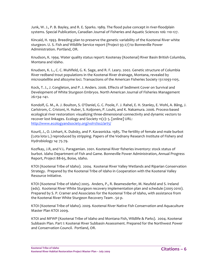Junk, W. J., P. B. Bayley, and R. E. Sparks. 1989. The flood pulse concept in river‐floodplain systems. Special Publication, Canadian Journal of Fisheries and Aquatic Sciences 106: 110‐127.

Kincaid, H. 1993. Breeding plan to preserve the genetic variability of the Kootenai River white sturgeon. U. S. Fish and Wildlife Service report (Project 93‐27) to Bonneville Power Administration. Portland, OR.

Knudson, K. 1994. Water quality status report: Kootenay (Kootenai) River Basin British Columbia, Montana and Idaho.

Knudsen, K. L., C. C. Muhlfeld, G. K. Sage, and R. F. Leary. 2002. Genetic structure of Columbia River redband trout populations in the Kootenai River drainage, Montana, revealed by microsatellite and allozyme loci. Transactions of the American Fisheries Society 131:1093‐1105.

Kock, T. J., J. Congleton, and P. J. Anders. 2006. Effects of Sediment Cover on Survival and Development of White Sturgeon Embryos. North American Journal of Fisheries Management 26:134–141.

Kondolf, G. M., A. J. Boulton, S. O'Daniel, G. C. Poole, F. J. Rahel, E. H. Stanley, E. Wohl, A. Bång, J. Carlstrom, C. Cristoni, H. Huber, S. Koljonen, P. Louhi, and K. Nakamura. 2006. Process‐based ecological river restoration: visualizing three‐dimensional connectivity and dynamic vectors to recover lost linkages. Ecology and Society 11(2): 5. [online] URL: http://www.ecologyandsociety.org/vol11/iss2/art5/

Kouril, J., O. Linhart, K. Dubsky, and P. Kavasnicka. 1985. The fertility of female and male burbot (Lota lota L.) reproduced by stripping. Papers of the Vodnany Research Institute of Fishery and Hydrobiology 14: 75‐79.

Kozfkay, J.R, and V.L. Paragamian. 2001. Kootenai River fisheries inventory: stock status of burbot. Idaho Department of Fish and Game. Bonneville Power Administration, Annual Progress Report, Project 88‐65, Boise, Idaho.

KTOI (Kootenai Tribe of Idaho). 2004. Kootenai River Valley Wetlands and Riparian Conservation Strategy. Prepared by the Kootenai Tribe of Idaho in Cooperation with the Kootenai Valley Resource Initiative.

KTOI (Kootenai Tribe of Idaho) 2005. Anders, P., R. Beamesderfer, M. Neufeld and S. Ireland (eds). Kootenai River White Sturgeon recovery implementation plan and schedule (2005‐2010). Prepared by S. P. Cramer and Associates for the Kootenai Tribe of Idaho, with assistance from the Kootenai River White Sturgeon Recovery Team . 50 p.

KTOI (Kootenai Tribe of Idaho). 2009. Kootenai River Native Fish Conservation and Aquaculture Master Plan KTOI 2009.

KTOI and MFWP (Kootenai Tribe of Idaho and Montana Fish, Wildlife & Parks). 2004. Kootenai Subbasin Plan. Part I: Kootenai River Subbasin Assessment. Prepared for the Northwest Power and Conservation Council. Portland, OR.

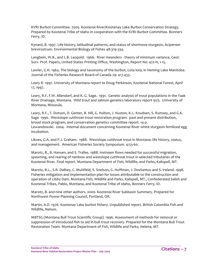KVRI Burbot Committee. 2005. Kootenai River/Kootenay Lake Burbot Conservation Strategy. Prepared by Kootenai Tribe of Idaho in cooperation with the KVRI Burbot Committee. Bonners Ferry, ID.

Kynard, B. 1997. Life history, latitudinal patterns, and status of shortnose sturgeon, Acipenser brevirostrum. Environmental Biology of Fishes 48:319‐334.

Langbein, W.B., and L.B. Leopold. 1966. River meanders - theory of minimum variance, Geol. Surv. Prof. Papers, United States Printing Office, Washington, Report No: 422‐H, 1‐15.

Lawler, G.H. 1963. The biology and taxonomy of the burbot, Lota lota, in Heming Lake Manitoba. Journal of the Fisheries Research Board of Canada 29: 417‐433.

Leary R. 1997. University of Montana report to Doug Perkinson, Kootenai National Forest, April 17, 1997.

Leary, R.F, F.W. Allendorf, and K. G. Sage. 1991. Genetic analysis of trout populations in the Yaak River Drainage, Montana. Wild trout and salmon genetics laboratory report 91/3. University of Montana, Missoula.

Leary, R.F., T. Dotson, D. Genter, B. Hill, G. Holton, J. Huston, K.L. Knudsen, S. Rumsey, and G.K. Sage 1990. Westslope cutthroat trout restoration program: past and present distribution, brood stock program, and conservation genetics committee report. 14 p. Lewandowski. 2004. Internal document concerning Kootenai River white sturgeon fertilized egg incubation.

Liknes, G.A. and P.J. Graham. 1988. Westslope cutthroat trout in Montana: life history, status, and management. American Fisheries Society Symposium. 4:53‐60.

Marotz, B., B. Hansen, and S. Tralles. 1988. Instream flows needed for successful migration, spawning, and rearing of rainbow and westslope cutthroat trout in selected tributaries of the Kootenai River. Final report. Montana Department of Fish, Wildlife, and Parks, Kalispell, MT.

Marotz, B.L., S.R. Dalbey, C. Muhlfeld, S. Snelson, G. Hoffman, J. DosSantos and S. Ireland. 1998. Fisheries mitigation and implementation plan for losses attributable to the construction and operation of Libby Dam. Montana Fish, Wildlife and Parks, Kalispell, MT., Confederated Salish and Kootenai Tribes, Pablo, Montana, and Kootenai Tribe of Idaho, Bonners Ferry, ID.

Marotz, B. and nine other authors. 2000. Kootenai River Subbasin Summary. Prepared for Northwest Power Planning Council, Portland, OR.

Martin, A.D. 1976. Kootenay Lake burbot fishery. Unpublished report. British Columbia Fish and Wildlife, Nelson.

MBTSG (Montana Bull Trout Scientific Group). 1996. Assessment of methods for removal or suppression of introduced fish to aid in bull trout recovery. Prepared for the Montana Bull Trout Restoration Team. Montana Department of Fish, Wildlife and Parks, Helena, MT.

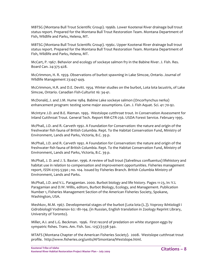MBTSG (Montana Bull Trout Scientific Group). 1996b. Lower Kootenai River drainage bull trout status report. Prepared for the Montana Bull Trout Restoration Team. Montana Department of Fish, Wildlife and Parks, Helena, MT.

MBTSG (Montana Bull Trout Scientific Group). 1996c. Upper Kootenai River drainage bull trout status report. Prepared for the Montana Bull Trout Restoration Team. Montana Department of Fish, Wildlife and Parks, Helena, MT.

McCart, P. 1967. Behavior and ecology of sockeye salmon fry in the Babine River. J. Fish. Res. Board Can. 24:375‐428.

McCrimmon, H. R. 1959. Observations of burbot spawning in Lake Simcoe, Ontario. Journal of Wildlife Management 23:447‐449.

McCrimmon, H.R. and D.E. Devitt. 1954. Winter studies on the burbot, Lota lota lacustris, of Lake Simcoe, Ontario. Canadian Fish‐Culturist 16: 34‐41.

McDonald, J. and J.M. Hume 1984. Babine Lake sockeye salmon (Oncorhynchus nerka) enhancement program: testing some major assumptions. Can. J. Fish Aquat. Sci. 41: 70‐92.

McIntyre J.D. and B.E. Rieman. 1995. Westslope cutthroat trout. In Conservation Assessment for Inland Cutthroat Trout. General Tech. Report RM‐GTR‐256. USDA Forest Service. February 1995.

McPhail, J.D. and R. Carveth 1992. A Foundation for Conservation: the nature and origin of the freshwater fish fauna of British Columbia. Rept. To the Habitat Conservation Fund, Ministry of Environment, Lands and Parks, Victoria, B.C. 39 p.

McPhail, J.D. and R. Carveth 1992. A Foundation for Conservation: the nature and origin of the freshwater fish fauna of British Columbia. Rept. To the Habitat Conservation Fund, Ministry of Environment, Lands and Parks, Victoria, B.C. 39 p.

McPhail, J. D. and J. S. Baxter. 1996. A review of bull trout (Salvelinus confluentus) lifehistory and habitat use in relation to compensation and improvement opportunities. Fisheries management report, ISSN 0705‐5390 ; no. 104. Issued by Fisheries Branch. British Columbia Ministry of Environment, Lands and Parks.

McPhail, J.D. and V.L. Paragamian. 2000. Burbot biology and life history. Pages 11‐23, In: V.L Paragamian and D.W. Willis, editors, Burbot Biology, Ecology, and Management. Publication Number 1, Fisheries Management Section of the American Fisheries Society, Spokane, Washington, USA.

Meshkov, M.M. 1967. Developmental stages of the burbot (Lota lota (L.)). Voprosy Ikhtiologii i Gidrobiologii Vodmenov 62: 181‐194. (in Russian, English translation in Zoology Reprint Library, University of Toronto).

Miller, A.I. and L.G. Beckman. 1996. First record of predation on white sturgeon eggs by sympatric fishes. Trans. Am. Fish. Soc. 125(2):338‐340.

MTAFS (Montana Chapter of the American Fisheries Society). 2008. Westslope cutthroat trout profile. http://www.fisheries.org/units/AFSmontana/Westslope.html.

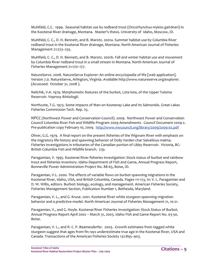Muhlfeld, C.C. 1999. Seasonal habitat use by redband trout (Oncorhynchus mykiss gairdneri) in the Kootenai River drainage, Montana. Master's thesis. University of Idaho, Moscow, ID.

Muhlfeld, C. C., D. H. Bennett, and B. Marotz. 2001a. Summer habitat use by Columbia River redband trout in the Kootenai River drainage, Montana. North American Journal of Fisheries Management 21:223–235.

Muhlfeld, C. C., D. H. Bennett, and B. Marotz. 2001b. Fall and winter habitat use and movement by Columbia River redband trout in a small stream in Montana. North American Journal of Fisheries Management 21:170–177.

NatureServe. 2008. NatureServe Explorer: An online encyclopedia of life [web application]. Version 7.0. NatureServe, Arlington, Virginia. Available http://www.natureserve.org/explorer. (Accessed: October 31, 2008 ).

Nelichik, V.A. 1979. Morphometic features of the burbot, Lota lota, of the Upper Tuloma Reservoir. Voprosy ikhtiologii.

Northcote, T.G. 1973. Some Impacts of Man on Kootenay Lake and Its Salmonids. Great Lakes Fisheries Commission Tech. Rep. 25.

NPCC (Northwest Power and Conservation Council). 2009. Northwest Power and Conservation Council Columbia River Fish and Wildlife Program 2009 Amendments. Council Document 2009‐2. Pre-publication copy February 10, 2009. http://www.nwcouncil.org/library/2009/2009-02.pdf

Oliver, G.G. 1979. A final report on the present fisheries of the Wigwam River with emphasis on the migratory life history and spawning behavior of Dolly Varden char Salvelinus malma. Fisheries investigations in tributaries of the Canadian portion of Libby Reservoir. Victoria, BC: British Columbia Fish and Wildlife branch. 27p.

Paragamian, V. 1995. Kootenai River fisheries investigation: Stock status of burbot and rainbow trout and fisheries inventory. Idaho Department of Fish and Game, Annual Progress Report, Bonneville Power Administration Project No. 88‐65, Boise, ID.

Paragamian, V.L. 2000. The effects of variable flows on burbot spawning migrations in the Kootenai River, Idaho, USA, and British Columbia, Canada. Pages 111‐123, In: V. L. Paragamian and D. W. Willis, editors. Burbot: biology, ecology, and management. American Fisheries Society, Fisheries Management Section, Publication Number 1, Bethesda, Maryland.

Paragamian, V. L., and G. Kruse. 2001. Kootenai River white sturgeon spawning migration behavior and a predictive model. North American Journal of Fisheries Management 21, 10‐21.

Paragamian, V., and G. Hoyle. Kootenai River Fisheries Investigation: Stock Status of Burbot. Annual Progress Report April 2002 – March 31, 2003. Idaho Fish and Game Report No. 03‐50, Boise.

Paragamian, V. L., and R. C. P. Beamesderfer. 2003. Growth estimates from tagged white sturgeon suggest that ages from fin rays underestimate true age in the Kootenai River, USA and Canada. Transactions of the American Fisheries Society 132:895–903.

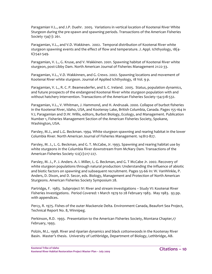Paragamian V.L., and J.P. Duehr. 2005. Variations in vertical location of Kootenai River White Sturgeon during the pre‐spawn and spawning periods. Transactions of the American Fisheries Society 134(1): 261.

Paragamian, V.L., and V.D. Wakkinen. 2002. Temporal distribution of Kootenai River white sturgeon spawning events and the effect of flow and temperature. J. Appl. Ichthyology, 18(4‐ 6):542‐549.

Paragamian, V. L., G. Kruse, and V. Wakkinen. 2001. Spawning habitat of Kootenai River white sturgeon, post‐Libby Dam. North American Journal of Fisheries Management 21:22‐33.

Paragamian, V.L., V.D. Wakkinnen, and G. Crews. 2002. Spawning locations and movement of Kootenai River white sturgeon. Journal of Applied Ichthyology, 18 Vol. 9 p.

Paragamian, V. L., R. C. P. Beamesderfer, and S. C. Ireland. 2005. Status, population dynamics, and future prospects of the endangered Kootenai River white sturgeon population with and without hatchery intervention. Transactions of the American Fisheries Society 134:518‐532.

Paragamian, V.L., V. Whitman, J. Hammond, and H. Andrusak. 2000. Collapse of burbot fisheries in the Kootenai River, Idaho, USA, and Kootenay Lake, British Columbia, Canada. Pages 155‐164 in V.L Paragamian and D.W. Willis, editors, Burbot Biology, Ecology, and Management. Publication Number 1, Fisheries Management Section of the American Fisheries Society, Spokane, Washington, USA.

Parsley, M.J., and L.G. Beckman. 1994. White sturgeon spawning and rearing habitat in the lower Columbia River. North American Journal of Fisheries Management. 14:812‐827.

Parsley, M. J., L. G. Beckman, and G. T. McCabe, Jr. 1993. Spawning and rearing habitat use by white sturgeons in the Columbia River downstream from McNary Dam. Transactions of the American Fisheries Society 122(2):217‐227.

Parsley, M. J., P. J. Anders. A. I. Miller, L. G. Beckman, and G. T McCabe Jr. 2002. Recovery of white sturgeon populations through natural production: Understanding the influence of abiotic and biotic factors on spawning and subsequent recruitment. Pages 55-66 In: W. VanWinkle, P. Anders, D. Dixon, and D. Secor, eds. Biology, Management and Protection of North American Sturgeons. American Fisheries Society Symposium 28.

Partridge, F. 1983. Subproject IV: River and stream investigations – Study VI: Kootenai River Fisheries Investigations. Period Covered: 1 March 1979 to 28 February 1983. May 1983. 93 pp. with appendices.

Percy, R. 1975. Fishes of the outer Mackenzie Delta. Environment Canada, Beaufort Sea Project, Technical Report No. 8, Winnipeg.

Perkinson, R.D. 1993. Presentation to the American Fisheries Society, Montana Chapter,17 February, 1993.

Polzin, M.L. 1998. River and riparian dynamics and black cottonwoods in the Kootenay River Basin. Master's thesis. University of Lethbridge, Department of Biology, Lethbridge, AB.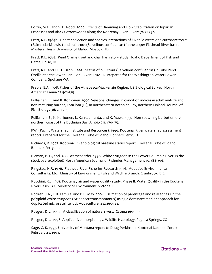Polzin, M.L., and S. B. Rood. 2000. Effects of Damming and Flow Stabilization on Riparian Processes and Black Cottonwoods along the Kootenay River. Rivers 7:221‐232.

Pratt, K.L. 1984b. Habitat selection and species interactions of juvenile westslope cutthroat trout (Salmo clarki lewisi) and bull trout (Salvelinus confluentus) in the upper Flathead River basin. Masters Thesis University of Idaho. Moscow, ID.

Pratt, K.L. 1985. Pend Oreille trout and char life history study. Idaho Department of Fish and Game, Boise, ID.

Pratt, K.L. and J.E. Huston. 1993. Status of bull trout (Salvelinus confluentus) in Lake Pend Oreille and the lower Clark Fork River: DRAFT. Prepared for the Washington Water Power Company, Spokane WA.

Preble, E.A. 1908. Fishes of the Athabasca‐Mackenzie Region. US Biological Survey, North American Fauna 27:502‐515.

Pulliainen, E., and K. Korhonen. 1990. Seasonal changes in condition indices in adult mature and non‐maturing burbot, Lota lota (L.), in northeastern Bothnian Bay, northern Finland. Journal of Fish Biology 36: 251‐259.

Pulliainen, E., K. Korhonen, L. Kankaanranta, and K. Maeki. 1992. Non‐spawning burbot on the northern coast of the Bothnian Bay. Ambio 211: 170‐175.

PWI (Pacific Watershed Institute and Resources). 1999. Kootenai River watershed assessment report. Prepared for the Kootenai Tribe of Idaho. Bonners Ferry, ID.

Richards, D. 1997. Kootenai River biological baseline status report. Kootenai Tribe of Idaho. Bonners Ferry, Idaho.

Rieman, B. E., and R. C. Beamesderfer. 1990. White sturgeon in the Lower Columbia River: Is the stock overexploited? North American Journal of Fisheries Management 10:388‐396.

Ringstad, N.R. 1976. Flathead River Fisheries Research 1976. Aquatico Environmental Consultants, Ltd. Ministry of Environment, Fish and Wildlife Branch. Cranbrook, B.C.

Rocchini, R.J. 1981. Kootenay air and water quality study. Phase II. Water Quality in the Kootenai River Basin. B.C. Ministry of Environment. Victoria, B.C.

Rodzen, J.A., T.R. Famula, and B.P. May. 2004. Estimation of parentage and relatedness in the polyploid white sturgeon (Acipenser transmontanus) using a dominant marker approach for duplicated microsatellite loci. Aquaculture. 232:165‐182.

Rosgen, D.L. 1994. A classification of natural rivers. Catena 169‐199.

Rosgen, D.L. 1996. Applied river morphology. Wildlife Hydrology, Pagosa Springs, CO.

Sage, G. K. 1993. University of Montana report to Doug Perkinson, Kootenai National Forest, February 23, 1993.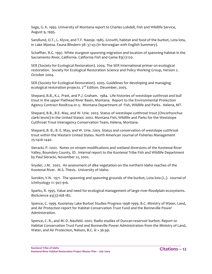Sage, G. K. 1995. University of Montana report to Charles Lobdell, Fish and Wildlife Service, August 9, 1995.

Sandlund, O.T., L. Klyve, and T.F. Naesje. 1985. Growth, habitat and food of the burbot, Lota lota, in Lake Mjoesa. Fauna Blindern 38: 37‐43 (in Norwegian with English Summary).

Schaffter, R.G. 1997. White sturgeon spawning migration and location of spawning habitat in the Sacramento River, California. California Fish and Game 83(1):120.

SER (Society for Ecological Restoration). 2004. The SER International primer on ecological restoration. Society for Ecological Restoration Science and Policy Working Group, Version 2. October 2004.

SER (Society for Ecological Restoration). 2005. Guidelines for developing and managing ecological restoration projects. 2<sup>nd</sup> Edition. December, 2005.

Shepard, B.B., K.L. Pratt, and P.J. Graham. 1984. Life histories of westslope cutthroat and bull trout in the upper Flathead River Basin, Montana. Report to the Environmental Protection Agency Contract R008224‐01‐5. Montana Department of Fish, Wildlife and Parks. Helena, MT.

Shepard, B.B., B.E. May, and W. Urie. 2003. Status of westslope cutthroat trout (Oncorhynchus clarki lewisi) in the United States: 2002. Montana Fish, Wildlife and Parks for the Westslope Cutthroat Trout Interagency Conservation Team, Helena, Montana.

Shepard, B. B., B. E. May, and W. Urie. 2005. Status and conservation of westslope cutthroat trout within the Western United States. North American Journal of Fisheries Management 25:1426‐1440.

Sieracki, P. 2002. Notes on stream modifications and wetland diversions of the Kootenai River Valley, Boundary County, ID. Internal report to the Kootenai Tribe Fish and Wildlife Department by Paul Sieracki, November 22, 2002.

Snyder, J.M. 2002. An assessment of dike vegetation on the northern Idaho reaches of the Kootenai River. M.S. Thesis. University of Idaho.

Sorokin, V.N. 1971. The spawning and spawning grounds of the burbot, Lota lota (L.). Journal of Ichthyology 11: 907‐916.

Sparks, R. 1995. Value and need for ecological management of large river‐floodplain ecosystems. BioScience 45(3):168‐182.

Spence, C. 1999. Kootenay Lake Burbot Studies Progress 1998‐1999. B.C. Ministry of Water, Land, and Air Protection report for Habitat Conservation Trust Fund and the Bonneville Power Administration.

Spence, C. R., and M. D. Neufeld. 2002. Radio studies of Duncan reservoir burbot. Report to Habitat Conservation Trust Fund and Bonneville Power Administration from the Ministry of Land, Water, and Air Protection, Nelson, B.C. iii + 36 pp.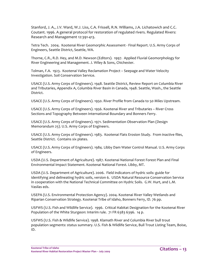Stanford, J. A., J.V. Ward, W.J. Liss, C.A. Frissell, R.N. Williams, J.A. Lichatowich and C.C. Coutant. 1996. A general protocol for restoration of regulated rivers. Regulated Rivers: Research and Management 12:391‐413.

Tetra Tech. 2004. Kootenai River Geomorphic Assessment ‐ Final Report. U.S. Army Corps of Engineers, Seattle District, Seattle, WA.

Thorne, C.R., R.D. Hey, and M.D. Newson (Editors). 1997. Applied Fluvial Geomorphology for River Engineering and Management. J. Wiley & Sons, Chichester.

Tolman, F.A. 1923. Kootenai Valley Reclamation Project – Seepage and Water Velocity Investigation. Soil Conservation Service.

USACE (U.S. Army Corps of Engineers). 1948. Seattle District, Review Report on Columbia River and Tributaries, Appendix A, Columbia River Basin in Canada, 1948. Seattle, Wash., the Seattle District.

USACE (U.S. Army Corps of Engineers). 1950. River Profile from Canada to 50 Miles Upstream.

USACE (U.S. Army Corps of Engineers). 1956. Kootenai River and Tributaries – River Cross Sections and Topography Between International Boundary and Bonners Ferry.

USACE (U.S. Army Corps of Engineers). 1971. Sedimentation Observation Plan (Design Memorandum 25). U.S. Army Corps of Engineers.

USACE (U.S. Army Corps of Engineers). 1983. Kootenai Flats Erosion Study. From inactive files, Seattle District. Contains six plates.

USACE (U.S. Army Corps of Engineers). 1984. Libby Dam Water Control Manual. U.S. Army Corps of Engineers.

USDA (U.S. Department of Agriculture). 1987. Kootenai National Forest Forest Plan and Final Environmental Impact Statement. Kootenai National Forest. Libby, MT.

USDA (U.S. Department of Agriculture). 2006. Field indicators of hydric soils: guide for identifying and delineating hydric soils, version 6. USDA Natural Resource Conservation Service in cooperation with the National Technical Committee on Hydric Soils. G.W. Hurt, and L.M. Vasilas eds.

USEPA (U.S. Environmental Protection Agency). 2004. Kootenai River Valley Wetlands and Riparian Conservation Strategy. Kootenai Tribe of Idaho, Bonners Ferry, ID. 76 pp.

USFWS (U.S. Fish and Wildlife Service). 1996. Critical Habitat Designation for the Kootenai River Population of the White Sturgeon: Interim rule. 71 FR 6383 6396. 14 p.

USFWS (U.S. Fish & Wildlife Service). 1998. Klamath River and Columbia River bull trout population segments: status summary. U.S. Fish & Wildlife Service, Bull Trout Listing Team, Boise, ID.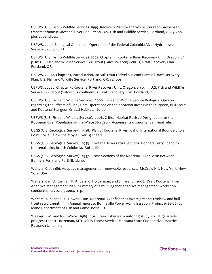USFWS (U.S. Fish & Wildlife Service). 1999. Recovery Plan for the White Sturgeon (Acipenser transmontanus): Kootenai River Population. U.S. Fish and Wildlife Service, Portland, OR. 96 pp. plus appendices.

USFWS. 2000. Biological Opinion on Operation of the Federal Columbia River Hydropower System. Section 8.1.f.

USFWS (U.S. Fish & Wildlife Service). 2002. Chapter 4, Kootenai River Recovery Unit, Oregon. 89 p. In: U.S. Fish and Wildlife Service. Bull Trout (*Salvelinus confluentus*) Draft Recovery Plan. Portland, OR.

USFWS. 2002a. Chapter 1, Introduction. In: Bull Trout (Salvelinus confluentus) Draft Recovery Plan. U.S. Fish and Wildlife Service, Portland, OR. 137 pps.

USFWS. 2002b. Chapter 4, Kootenai River Recovery Unit, Oregon. 89 p. In: U.S. Fish and Wildlife Service. Bull Trout (Salvelinus confluentus) Draft Recovery Plan. Portland, OR.

USFWS (U.S. Fish and Wildlife Service). 2006. Fish and Wildlife Service Biological Opinion regarding The Effects of Libby Dam Operations on the Kootenai River White Sturgeon, Bull Trout, and Kootenai Sturgeon Critical Habitat. 167 pp.

USFWS (U.S. Fish and Wildlife Service). 2008. Critical Habitat Revised Designation for the Kootenai River Population of the White Sturgeon (Acipenser transmontanus): Final rule.

USGS (U.S. Geological Survey). 1928. Plan of Kootenai River, Idaho, International Boundary to a Point 1 Mile Below the Moyie River. 9 sheets.

USGS (U.S. Geological Survey). 1933. Kootenai River Cross Sections, Bonners Ferry, Idaho to Kootenai Lake, British Colubmia. Boise, ID.

USGS (U.S. Geological Survey). 1937. Cross Sections of the Kootenai River Basin Between Bonners Ferry and Porthill, Idaho.

Walters, C. J. 1986. Adaptive management of renewable resources. McGraw Hill, New York, New York, USA.

Walters, Carl, J. Korman, P. Anders, C. Holderman, and S. Ireland. 2005. Draft Kootenai River Adaptive Management Plan. Summary of a multi‐agency adaptive management workshop conducted July 22‐23, 2004. 11 p.

Walters, J. P., and C. C. Downs. 2001. Kootenai River fisheries investigations: rainbow and bull trout recruitment. 1999 Annual report to Bonneville Power Administration. Project 1988‐06500. Idaho Department of Fish and Game. Boise, ID.

Weaver, T.M. and R.G. White. 1985. Coal Creek fisheries monitoring study No. III. Quarterly progress report. Bozeman, MT: USDA Forest Service, Montana State Cooperative Fisheries Research Unit. 94 p.